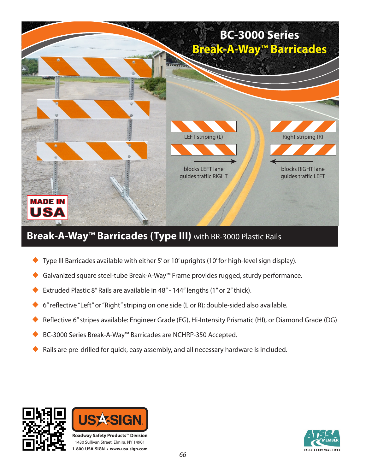

## **Break-A-Way**™ **Barricades (Type III)** with BR-3000 Plastic Rails

- Type III Barricades available with either 5' or 10' uprights (10' for high-level sign display).
- Galvanized square steel-tube Break-A-Way™ Frame provides rugged, sturdy performance.
- Extruded Plastic 8" Rails are available in 48" 144" lengths (1" or 2" thick).
- 6" reflective "Left" or "Right" striping on one side (L or R); double-sided also available.
- Reflective 6" stripes available: Engineer Grade (EG), Hi-Intensity Prismatic (HI), or Diamond Grade (DG)
- BC-3000 Series Break-A-Way™ Barricades are NCHRP-350 Accepted.
- Rails are pre-drilled for quick, easy assembly, and all necessary hardware is included.